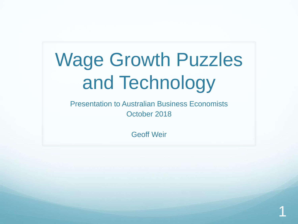# Wage Growth Puzzles and Technology

Presentation to Australian Business Economists October 2018

Geoff Weir

1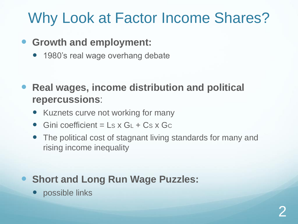## Why Look at Factor Income Shares?

- **Growth and employment:**
	- 1980's real wage overhang debate

 **Real wages, income distribution and political repercussions**:

- Kuznets curve not working for many
- Gini coefficient =  $\mathsf{L}$ s x G $\mathsf{L}$  + Cs x Gc
- The political cost of stagnant living standards for many and rising income inequality

### **• Short and Long Run Wage Puzzles:**

• possible links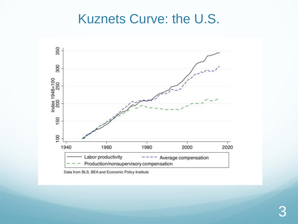### Kuznets Curve: the U.S.



Data from BLS, BEA and Economic Policy Institute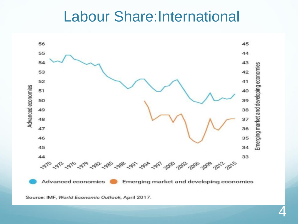### **Labour Share:International**



Source: IMF, World Economic Outlook, April 2017.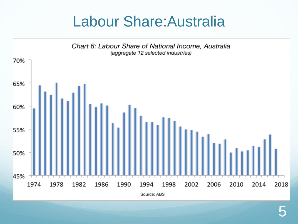## Labour Share:Australia

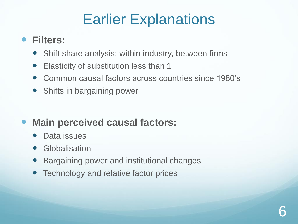## Earlier Explanations

#### **Filters:**

- Shift share analysis: within industry, between firms
- Elasticity of substitution less than 1
- Common causal factors across countries since 1980's
- Shifts in bargaining power

### **Main perceived causal factors:**

- Data issues
- **Globalisation**
- Bargaining power and institutional changes
- Technology and relative factor prices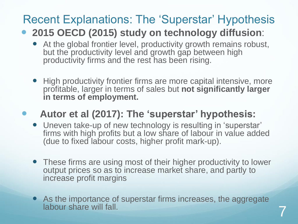### Recent Explanations: The 'Superstar' Hypothesis

#### **2015 OECD (2015) study on technology diffusion**:

- At the global frontier level, productivity growth remains robust, but the productivity level and growth gap between high productivity firms and the rest has been rising.
- High productivity frontier firms are more capital intensive, more profitable, larger in terms of sales but **not significantly larger in terms of employment.**

#### **Autor et al (2017): The 'superstar' hypothesis:**

- Uneven take-up of new technology is resulting in 'superstar' firms with high profits but a low share of labour in value added (due to fixed labour costs, higher profit mark-up).
- These firms are using most of their higher productivity to lower output prices so as to increase market share, and partly to increase profit margins
- As the importance of superstar firms increases, the aggregate labour share will fall.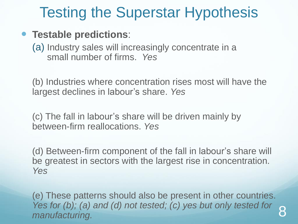## Testing the Superstar Hypothesis

#### **Testable predictions**:

(a) Industry sales will increasingly concentrate in a small number of firms. *Yes* 

(b) Industries where concentration rises most will have the largest declines in labour's share. *Yes*

(c) The fall in labour's share will be driven mainly by between-firm reallocations. *Yes*

(d) Between-firm component of the fall in labour's share will be greatest in sectors with the largest rise in concentration. *Yes*

(e) These patterns should also be present in other countries. *Yes for (b); (a) and (d) not tested; (c) yes but only tested for res* for (b); (a) and (d) not tested; (c) yes but only tested for  $\,$  8 manufacturing.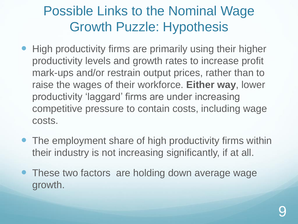### Possible Links to the Nominal Wage Growth Puzzle: Hypothesis

- High productivity firms are primarily using their higher productivity levels and growth rates to increase profit mark-ups and/or restrain output prices, rather than to raise the wages of their workforce. **Either way**, lower productivity 'laggard' firms are under increasing competitive pressure to contain costs, including wage costs.
- The employment share of high productivity firms within their industry is not increasing significantly, if at all.
- These two factors are holding down average wage growth.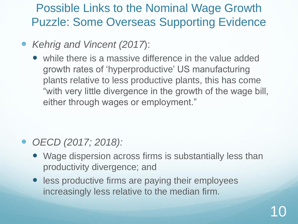Possible Links to the Nominal Wage Growth Puzzle: Some Overseas Supporting Evidence

*Kehrig and Vincent (2017*):

 while there is a massive difference in the value added growth rates of 'hyperproductive' US manufacturing plants relative to less productive plants, this has come "with very little divergence in the growth of the wage bill, either through wages or employment."

- *OECD (2017; 2018):*
	- Wage dispersion across firms is substantially less than productivity divergence; and
	- **•** less productive firms are paying their employees increasingly less relative to the median firm.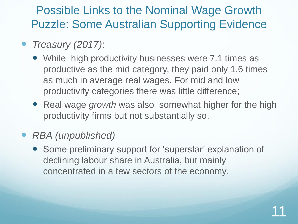Possible Links to the Nominal Wage Growth Puzzle: Some Australian Supporting Evidence

- *Treasury (2017)*:
	- While high productivity businesses were 7.1 times as productive as the mid category, they paid only 1.6 times as much in average real wages. For mid and low productivity categories there was little difference;
	- Real wage *growth* was also somewhat higher for the high productivity firms but not substantially so.
- *RBA (unpublished)*
	- Some preliminary support for 'superstar' explanation of declining labour share in Australia, but mainly concentrated in a few sectors of the economy.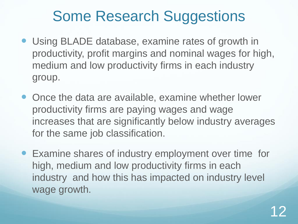## Some Research Suggestions

- Using BLADE database, examine rates of growth in productivity, profit margins and nominal wages for high, medium and low productivity firms in each industry group.
- Once the data are available, examine whether lower productivity firms are paying wages and wage increases that are significantly below industry averages for the same job classification.
- Examine shares of industry employment over time for high, medium and low productivity firms in each industry and how this has impacted on industry level wage growth.